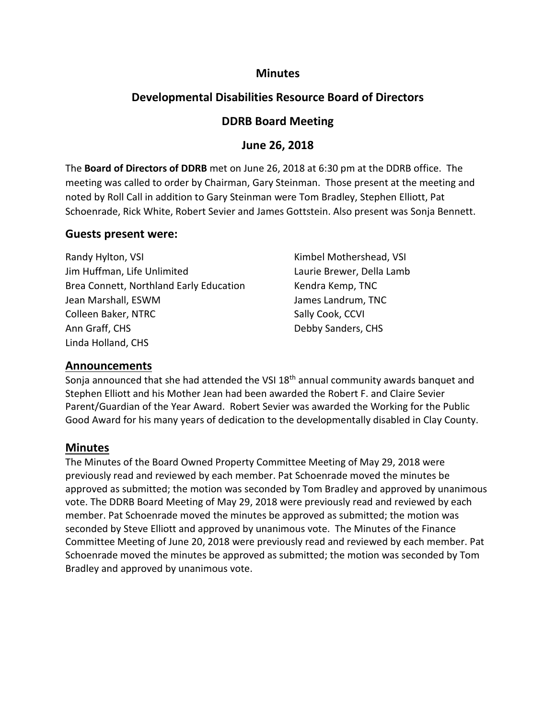## **Minutes**

## **Developmental Disabilities Resource Board of Directors**

## **DDRB Board Meeting**

## **June 26, 2018**

The **Board of Directors of DDRB** met on June 26, 2018 at 6:30 pm at the DDRB office. The meeting was called to order by Chairman, Gary Steinman. Those present at the meeting and noted by Roll Call in addition to Gary Steinman were Tom Bradley, Stephen Elliott, Pat Schoenrade, Rick White, Robert Sevier and James Gottstein. Also present was Sonja Bennett.

## **Guests present were:**

| Randy Hylton, VSI                       |  |
|-----------------------------------------|--|
| Jim Huffman, Life Unlimited             |  |
| Brea Connett, Northland Early Education |  |
| Jean Marshall, ESWM                     |  |
| Colleen Baker, NTRC                     |  |
| Ann Graff, CHS                          |  |
| Linda Holland, CHS                      |  |

Kimbel Mothershead, VSI Laurie Brewer, Della Lamb Kendra Kemp, TNC James Landrum, TNC Sally Cook, CCVI Debby Sanders, CHS

## **Announcements**

Sonja announced that she had attended the VSI 18<sup>th</sup> annual community awards banquet and Stephen Elliott and his Mother Jean had been awarded the Robert F. and Claire Sevier Parent/Guardian of the Year Award. Robert Sevier was awarded the Working for the Public Good Award for his many years of dedication to the developmentally disabled in Clay County.

## **Minutes**

The Minutes of the Board Owned Property Committee Meeting of May 29, 2018 were previously read and reviewed by each member. Pat Schoenrade moved the minutes be approved as submitted; the motion was seconded by Tom Bradley and approved by unanimous vote. The DDRB Board Meeting of May 29, 2018 were previously read and reviewed by each member. Pat Schoenrade moved the minutes be approved as submitted; the motion was seconded by Steve Elliott and approved by unanimous vote. The Minutes of the Finance Committee Meeting of June 20, 2018 were previously read and reviewed by each member. Pat Schoenrade moved the minutes be approved as submitted; the motion was seconded by Tom Bradley and approved by unanimous vote.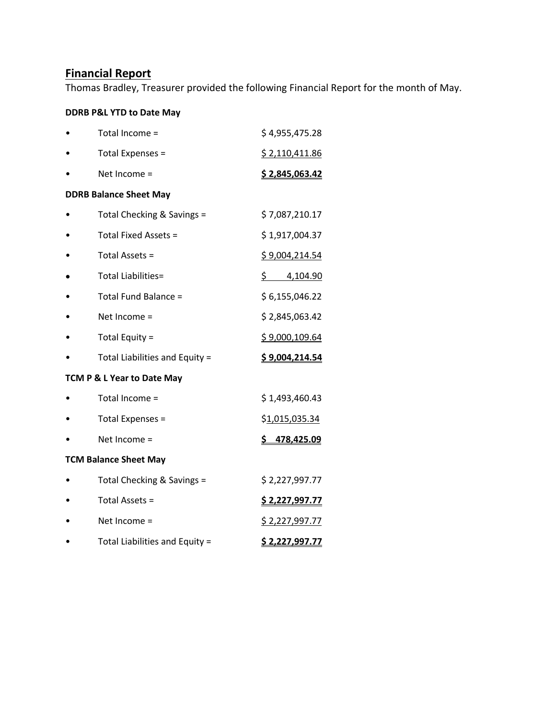# **Financial Report**

Thomas Bradley, Treasurer provided the following Financial Report for the month of May.

## **DDRB P&L YTD to Date May**

|                              | Total Income =                 | \$4,955,475.28         |  |  |  |
|------------------------------|--------------------------------|------------------------|--|--|--|
|                              | Total Expenses =               | \$2,110,411.86         |  |  |  |
|                              | Net Income =                   | \$2,845,063.42         |  |  |  |
|                              | <b>DDRB Balance Sheet May</b>  |                        |  |  |  |
|                              | Total Checking & Savings =     | \$7,087,210.17         |  |  |  |
|                              | Total Fixed Assets =           | \$1,917,004.37         |  |  |  |
|                              | Total Assets =                 | \$9,004,214.54         |  |  |  |
|                              | <b>Total Liabilities=</b>      | $\frac{5}{2}$ 4,104.90 |  |  |  |
|                              | Total Fund Balance =           | \$6,155,046.22         |  |  |  |
|                              | Net Income $=$                 | \$2,845,063.42         |  |  |  |
|                              | Total Equity =                 | \$9,000,109.64         |  |  |  |
|                              | Total Liabilities and Equity = | \$9,004,214.54         |  |  |  |
|                              | TCM P & L Year to Date May     |                        |  |  |  |
|                              | Total Income =                 | \$1,493,460.43         |  |  |  |
|                              | Total Expenses =               | \$ <u>1,015,035.34</u> |  |  |  |
|                              | Net Income =                   | \$478,425.09           |  |  |  |
| <b>TCM Balance Sheet May</b> |                                |                        |  |  |  |
|                              | Total Checking & Savings =     | \$2,227,997.77         |  |  |  |
|                              | Total Assets =                 | <u>\$ 2,227,997.77</u> |  |  |  |
|                              | Net Income =                   | <u>\$ 2,227,997.77</u> |  |  |  |
|                              | Total Liabilities and Equity = | <u>\$ 2,227,997.77</u> |  |  |  |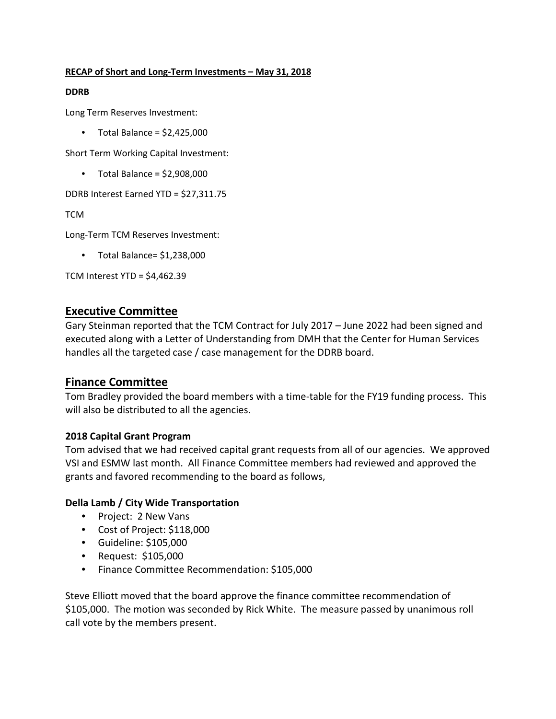#### **RECAP of Short and Long-Term Investments – May 31, 2018**

#### **DDRB**

Long Term Reserves Investment:

• Total Balance =  $$2,425,000$ 

Short Term Working Capital Investment:

 $\bullet$  Total Balance = \$2,908,000

DDRB Interest Earned YTD = \$27,311.75

**TCM** 

Long-Term TCM Reserves Investment:

• Total Balance= \$1,238,000

TCM Interest YTD = \$4,462.39

## **Executive Committee**

Gary Steinman reported that the TCM Contract for July 2017 – June 2022 had been signed and executed along with a Letter of Understanding from DMH that the Center for Human Services handles all the targeted case / case management for the DDRB board.

## **Finance Committee**

Tom Bradley provided the board members with a time-table for the FY19 funding process. This will also be distributed to all the agencies.

## **2018 Capital Grant Program**

Tom advised that we had received capital grant requests from all of our agencies. We approved VSI and ESMW last month. All Finance Committee members had reviewed and approved the grants and favored recommending to the board as follows,

## **Della Lamb / City Wide Transportation**

- Project: 2 New Vans
- Cost of Project: \$118,000
- Guideline: \$105,000
- Request: \$105,000
- Finance Committee Recommendation: \$105,000

Steve Elliott moved that the board approve the finance committee recommendation of \$105,000. The motion was seconded by Rick White. The measure passed by unanimous roll call vote by the members present.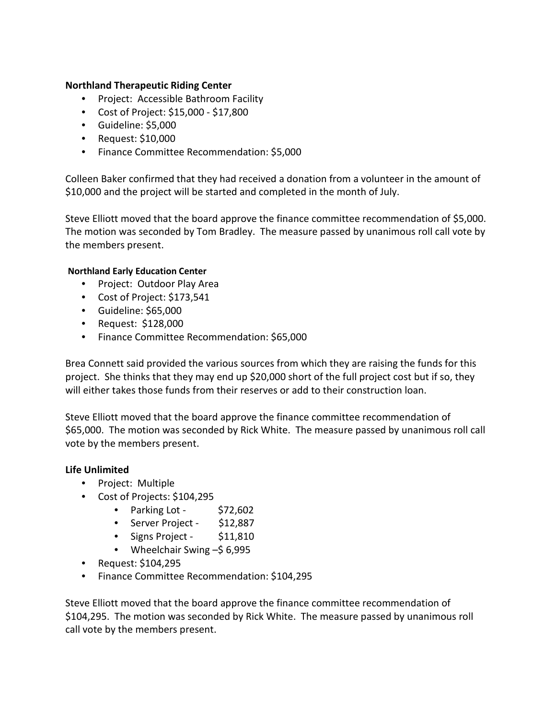#### **Northland Therapeutic Riding Center**

- Project: Accessible Bathroom Facility
- Cost of Project: \$15,000 \$17,800
- Guideline: \$5,000
- Request: \$10,000
- Finance Committee Recommendation: \$5,000

Colleen Baker confirmed that they had received a donation from a volunteer in the amount of \$10,000 and the project will be started and completed in the month of July.

Steve Elliott moved that the board approve the finance committee recommendation of \$5,000. The motion was seconded by Tom Bradley. The measure passed by unanimous roll call vote by the members present.

#### **Northland Early Education Center**

- Project: Outdoor Play Area
- Cost of Project: \$173,541
- Guideline: \$65,000
- Request: \$128,000
- Finance Committee Recommendation: \$65,000

Brea Connett said provided the various sources from which they are raising the funds for this project. She thinks that they may end up \$20,000 short of the full project cost but if so, they will either takes those funds from their reserves or add to their construction loan.

Steve Elliott moved that the board approve the finance committee recommendation of \$65,000. The motion was seconded by Rick White. The measure passed by unanimous roll call vote by the members present.

## **Life Unlimited**

- Project: Multiple
- Cost of Projects: \$104,295
	- Parking Lot  $$72,602$
	- Server Project \$12,887
	- Signs Project \$11,810
	- Wheelchair Swing –\$6,995
- Request: \$104,295
- Finance Committee Recommendation: \$104,295

Steve Elliott moved that the board approve the finance committee recommendation of \$104,295. The motion was seconded by Rick White. The measure passed by unanimous roll call vote by the members present.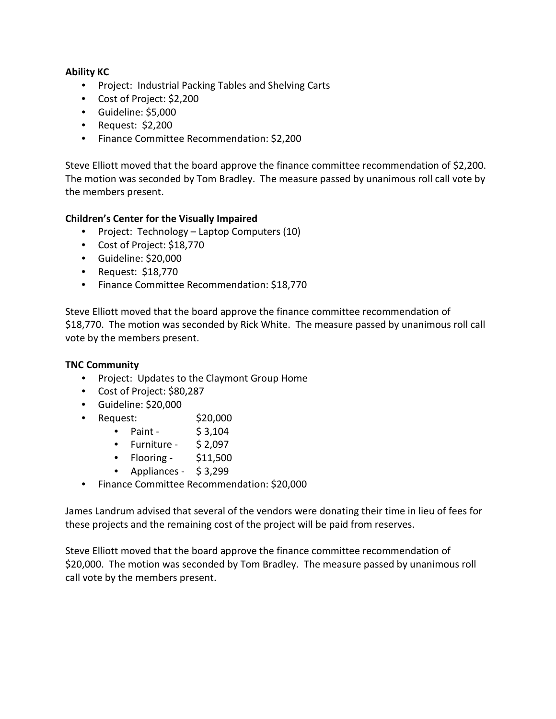## **Ability KC**

- Project: Industrial Packing Tables and Shelving Carts
- Cost of Project: \$2,200
- Guideline: \$5,000
- Request: \$2,200
- Finance Committee Recommendation: \$2,200

Steve Elliott moved that the board approve the finance committee recommendation of \$2,200. The motion was seconded by Tom Bradley. The measure passed by unanimous roll call vote by the members present.

#### **Children's Center for the Visually Impaired**

- Project: Technology Laptop Computers (10)
- Cost of Project: \$18,770
- Guideline: \$20,000
- Request: \$18,770
- Finance Committee Recommendation: \$18,770

Steve Elliott moved that the board approve the finance committee recommendation of \$18,770. The motion was seconded by Rick White. The measure passed by unanimous roll call vote by the members present.

## **TNC Community**

- Project: Updates to the Claymont Group Home
- Cost of Project: \$80,287
- Guideline: \$20,000
- Request:  $$20,000$ 
	- Paint  $$3,104$
	- $\bullet$  Furniture \$2,097
	- Flooring \$11,500
	- Appliances \$ 3,299
- Finance Committee Recommendation: \$20,000

James Landrum advised that several of the vendors were donating their time in lieu of fees for these projects and the remaining cost of the project will be paid from reserves.

Steve Elliott moved that the board approve the finance committee recommendation of \$20,000. The motion was seconded by Tom Bradley. The measure passed by unanimous roll call vote by the members present.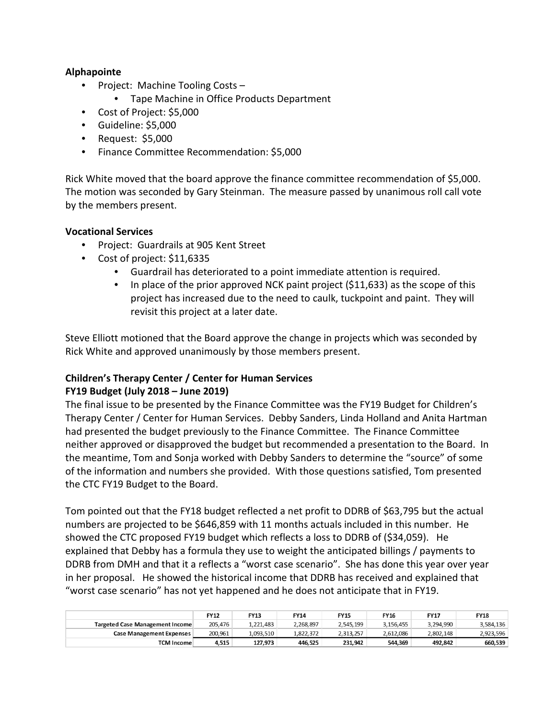#### **Alphapointe**

- Project: Machine Tooling Costs
	- Tape Machine in Office Products Department
- Cost of Project: \$5,000
- Guideline: \$5,000
- Request: \$5,000
- Finance Committee Recommendation: \$5,000

Rick White moved that the board approve the finance committee recommendation of \$5,000. The motion was seconded by Gary Steinman. The measure passed by unanimous roll call vote by the members present.

#### **Vocational Services**

- Project: Guardrails at 905 Kent Street
- Cost of project: \$11,6335
	- Guardrail has deteriorated to a point immediate attention is required.
	- In place of the prior approved NCK paint project (\$11,633) as the scope of this project has increased due to the need to caulk, tuckpoint and paint. They will revisit this project at a later date.

Steve Elliott motioned that the Board approve the change in projects which was seconded by Rick White and approved unanimously by those members present.

# **Children's Therapy Center / Center for Human Services**

#### **FY19 Budget (July 2018 – June 2019)**

The final issue to be presented by the Finance Committee was the FY19 Budget for Children's Therapy Center / Center for Human Services. Debby Sanders, Linda Holland and Anita Hartman had presented the budget previously to the Finance Committee. The Finance Committee neither approved or disapproved the budget but recommended a presentation to the Board. In the meantime, Tom and Sonja worked with Debby Sanders to determine the "source" of some of the information and numbers she provided. With those questions satisfied, Tom presented the CTC FY19 Budget to the Board.

Tom pointed out that the FY18 budget reflected a net profit to DDRB of \$63,795 but the actual numbers are projected to be \$646,859 with 11 months actuals included in this number. He showed the CTC proposed FY19 budget which reflects a loss to DDRB of (\$34,059). He explained that Debby has a formula they use to weight the anticipated billings / payments to DDRB from DMH and that it a reflects a "worst case scenario". She has done this year over year in her proposal. He showed the historical income that DDRB has received and explained that "worst case scenario" has not yet happened and he does not anticipate that in FY19.

|                                 | <b>FY12</b> | <b>FY13</b> | <b>FY14</b> | FY15      | FY16      | <b>FY17</b> | <b>FY18</b> |
|---------------------------------|-------------|-------------|-------------|-----------|-----------|-------------|-------------|
| Targeted Case Management Income | 205.476     | 1.221.483   | 2,268,897   | 2.545.199 | 3.156.455 | 3.294.990   | 3,584,136   |
| <b>Case Management Expenses</b> | 200,961     | 1,093,510   | 1,822,372   | 2,313,257 | 2,612,086 | 2,802,148   | 2,923,596   |
| <b>TCM Income</b>               | 4,515       | 127,973     | 446.525     | 231,942   | 544,369   | 492,842     | 660,539     |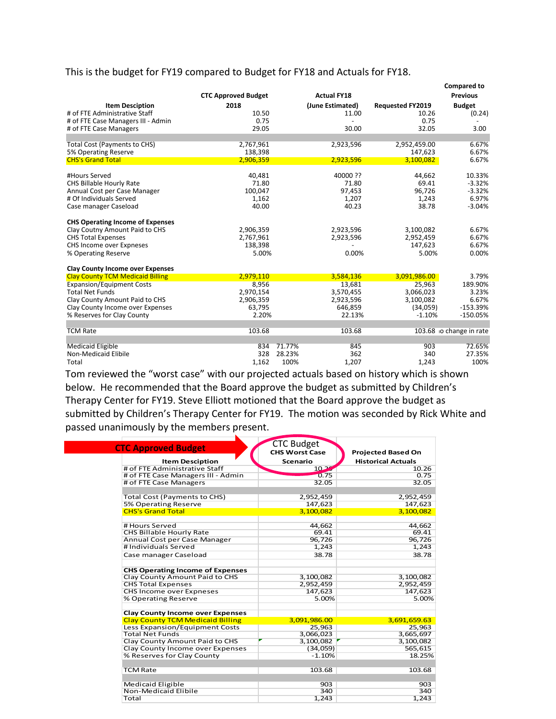## This is the budget for FY19 compared to Budget for FY18 and Actuals for FY18.

|                                         |                            |        |                    |                         | <b>Compared to</b>      |
|-----------------------------------------|----------------------------|--------|--------------------|-------------------------|-------------------------|
|                                         | <b>CTC Approved Budget</b> |        | <b>Actual FY18</b> |                         | <b>Previous</b>         |
| <b>Item Desciption</b>                  | 2018                       |        | (June Estimated)   | <b>Requested FY2019</b> | <b>Budget</b>           |
| # of FTE Administrative Staff           | 10.50                      |        | 11.00              | 10.26                   | (0.24)                  |
| # of FTE Case Managers III - Admin      | 0.75                       |        |                    | 0.75                    |                         |
| # of FTE Case Managers                  | 29.05                      |        | 30.00              | 32.05                   | 3.00                    |
|                                         |                            |        |                    |                         |                         |
| <b>Total Cost (Payments to CHS)</b>     | 2,767,961                  |        | 2,923,596          | 2,952,459.00            | 6.67%                   |
| 5% Operating Reserve                    | 138,398                    |        |                    | 147,623                 | 6.67%                   |
| <b>CHS's Grand Total</b>                | 2,906,359                  |        | 2,923,596          | 3,100,082               | 6.67%                   |
| #Hours Served                           | 40,481                     |        | 40000 ??           | 44,662                  | 10.33%                  |
| CHS Billable Hourly Rate                | 71.80                      |        | 71.80              | 69.41                   | $-3.32%$                |
| Annual Cost per Case Manager            | 100,047                    |        | 97,453             | 96,726                  | $-3.32%$                |
| # Of Individuals Served                 | 1,162                      |        | 1,207              | 1,243                   | 6.97%                   |
| Case manager Caseload                   | 40.00                      |        | 40.23              | 38.78                   | $-3.04%$                |
| <b>CHS Operating Income of Expenses</b> |                            |        |                    |                         |                         |
| Clay Coutny Amount Paid to CHS          | 2,906,359                  |        | 2,923,596          | 3,100,082               | 6.67%                   |
| <b>CHS Total Expenses</b>               | 2,767,961                  |        | 2,923,596          | 2,952,459               | 6.67%                   |
| CHS Income over Expneses                | 138,398                    |        |                    | 147,623                 | 6.67%                   |
| % Operating Reserve                     | 5.00%                      |        | 0.00%              | 5.00%                   | 0.00%                   |
| <b>Clay County Income over Expenses</b> |                            |        |                    |                         |                         |
| <b>Clay County TCM Medicaid Billing</b> | 2,979,110                  |        | 3,584,136          | 3,091,986.00            | 3.79%                   |
| <b>Expansion/Equipment Costs</b>        | 8,956                      |        | 13,681             | 25,963                  | 189.90%                 |
| <b>Total Net Funds</b>                  | 2,970,154                  |        | 3,570,455          | 3,066,023               | 3.23%                   |
| Clay County Amount Paid to CHS          | 2,906,359                  |        | 2,923,596          | 3,100,082               | 6.67%                   |
| Clay County Income over Expenses        | 63,795                     |        | 646,859            | (34,059)                | $-153.39%$              |
| % Reserves for Clay County              | 2.20%                      |        | 22.13%             | $-1.10%$                | $-150.05%$              |
| <b>TCM Rate</b>                         | 103.68                     |        | 103.68             |                         | 103.68 o change in rate |
|                                         |                            |        |                    |                         |                         |
| <b>Medicaid Eligible</b>                | 834                        | 71.77% | 845                | 903                     | 72.65%                  |
| Non-Medicaid Elibile                    | 328                        | 28.23% | 362                | 340                     | 27.35%                  |
| Total                                   | 1,162                      | 100%   | 1,207              | 1,243                   | 100%                    |

Tom reviewed the "worst case" with our projected actuals based on history which is shown below. He recommended that the Board approve the budget as submitted by Children's Therapy Center for FY19. Steve Elliott motioned that the Board approve the budget as submitted by Children's Therapy Center for FY19. The motion was seconded by Rick White and passed unanimously by the members present.

|                                         | <b>CTC Budget</b>     |                           |
|-----------------------------------------|-----------------------|---------------------------|
| <b>CTC Approved Budget</b>              | <b>CHS Worst Case</b> | <b>Projected Based On</b> |
|                                         |                       |                           |
| <b>Item Desciption</b>                  | <b>Scenario</b>       | <b>Historical Actuals</b> |
| # of FTE Administrative Staff           | $10 - 2$              | 10.26                     |
| # of FTE Case Managers III - Admin      | 0.75                  | 0.75                      |
| # of FTE Case Managers                  | 32.05                 | 32.05                     |
| <b>Total Cost (Payments to CHS)</b>     | 2,952,459             | 2,952,459                 |
| 5% Operating Reserve                    | 147,623               | 147,623                   |
| <b>CHS's Grand Total</b>                | 3,100,082             | 3,100,082                 |
| # Hours Served                          | 44,662                | 44,662                    |
| <b>CHS Billable Hourly Rate</b>         | 69.41                 | 69.41                     |
| Annual Cost per Case Manager            | 96,726                | 96,726                    |
| # Individuals Served                    | 1,243                 | 1,243                     |
| Case manager Caseload                   | 38.78                 | 38.78                     |
|                                         |                       |                           |
| <b>CHS Operating Income of Expenses</b> |                       |                           |
| Clay County Amount Paid to CHS          | 3,100,082             | 3,100,082                 |
| <b>CHS Total Expenses</b>               | 2,952,459             | 2,952,459                 |
| CHS Income over Expneses                | 147,623               | 147,623                   |
| % Operating Reserve                     | 5.00%                 | 5.00%                     |
| <b>Clay County Income over Expenses</b> |                       |                           |
| <b>Clay County TCM Medicaid Billing</b> | 3,091,986.00          | 3,691,659.63              |
| Less Expansion/Equipment Costs          | 25,963                | 25,963                    |
| <b>Total Net Funds</b>                  | 3,066,023             | 3,665,697                 |
| Clay County Amount Paid to CHS          | 3,100,082             | 3,100,082                 |
| Clay County Income over Expenses        | (34,059)              | 565,615                   |
| % Reserves for Clay County              | $-1.10%$              | 18.25%                    |
| <b>TCM Rate</b>                         | 103.68                | 103.68                    |
|                                         |                       |                           |
| Medicaid Eligible                       | 903                   | 903                       |
| Non-Medicaid Elibile                    | 340                   | 340                       |
| Total                                   | 1,243                 | 1,243                     |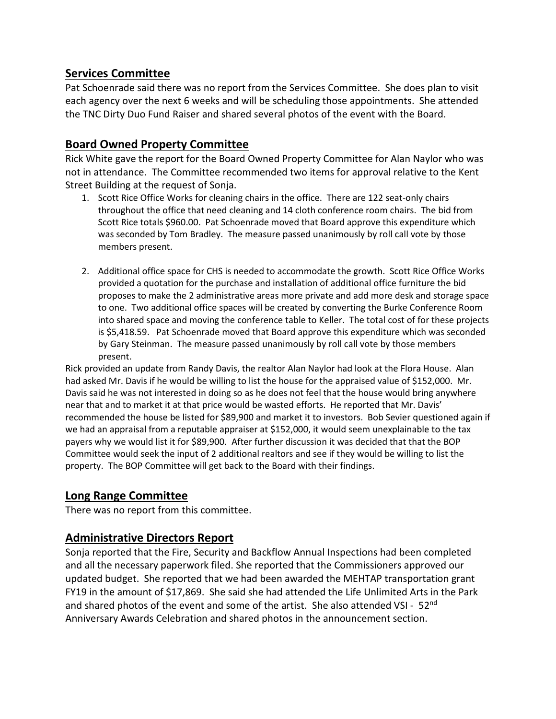## **Services Committee**

Pat Schoenrade said there was no report from the Services Committee. She does plan to visit each agency over the next 6 weeks and will be scheduling those appointments. She attended the TNC Dirty Duo Fund Raiser and shared several photos of the event with the Board.

# **Board Owned Property Committee**

Rick White gave the report for the Board Owned Property Committee for Alan Naylor who was not in attendance. The Committee recommended two items for approval relative to the Kent Street Building at the request of Sonja.

- 1. Scott Rice Office Works for cleaning chairs in the office. There are 122 seat-only chairs throughout the office that need cleaning and 14 cloth conference room chairs. The bid from Scott Rice totals \$960.00. Pat Schoenrade moved that Board approve this expenditure which was seconded by Tom Bradley. The measure passed unanimously by roll call vote by those members present.
- 2. Additional office space for CHS is needed to accommodate the growth. Scott Rice Office Works provided a quotation for the purchase and installation of additional office furniture the bid proposes to make the 2 administrative areas more private and add more desk and storage space to one. Two additional office spaces will be created by converting the Burke Conference Room into shared space and moving the conference table to Keller. The total cost of for these projects is \$5,418.59. Pat Schoenrade moved that Board approve this expenditure which was seconded by Gary Steinman. The measure passed unanimously by roll call vote by those members present.

Rick provided an update from Randy Davis, the realtor Alan Naylor had look at the Flora House. Alan had asked Mr. Davis if he would be willing to list the house for the appraised value of \$152,000. Mr. Davis said he was not interested in doing so as he does not feel that the house would bring anywhere near that and to market it at that price would be wasted efforts. He reported that Mr. Davis' recommended the house be listed for \$89,900 and market it to investors. Bob Sevier questioned again if we had an appraisal from a reputable appraiser at \$152,000, it would seem unexplainable to the tax payers why we would list it for \$89,900. After further discussion it was decided that that the BOP Committee would seek the input of 2 additional realtors and see if they would be willing to list the property. The BOP Committee will get back to the Board with their findings.

## **Long Range Committee**

There was no report from this committee.

## **Administrative Directors Report**

Sonja reported that the Fire, Security and Backflow Annual Inspections had been completed and all the necessary paperwork filed. She reported that the Commissioners approved our updated budget. She reported that we had been awarded the MEHTAP transportation grant FY19 in the amount of \$17,869. She said she had attended the Life Unlimited Arts in the Park and shared photos of the event and some of the artist. She also attended VSI - 52<sup>nd</sup> Anniversary Awards Celebration and shared photos in the announcement section.